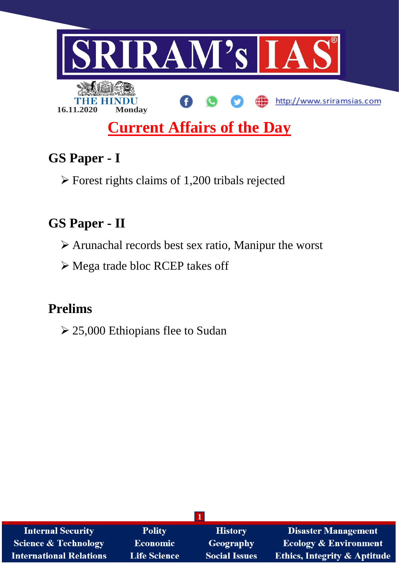

# **GS Paper - I**

 $\triangleright$  Forest rights claims of 1,200 tribals rejected

## **GS Paper - II**

- Arunachal records best sex ratio, Manipur the worst
- Mega trade bloc RCEP takes off

## **Prelims**

 $\geq$  25,000 Ethiopians flee to Sudan

| <b>Internal Security</b>        | <b>Polity</b>       | <b>History</b>       | <b>Disaster Management</b>              |
|---------------------------------|---------------------|----------------------|-----------------------------------------|
| <b>Science &amp; Technology</b> | Economic            | <b>Geography</b>     | <b>Ecology &amp; Environment</b>        |
| <b>International Relations</b>  | <b>Life Science</b> | <b>Social Issues</b> | <b>Ethics, Integrity &amp; Aptitude</b> |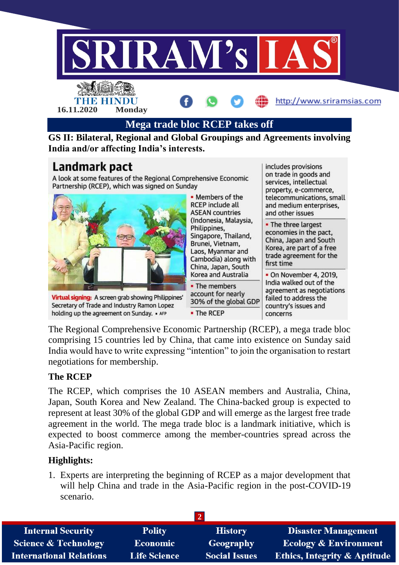

The Regional Comprehensive Economic Partnership (RCEP), a mega trade bloc comprising 15 countries led by China, that came into existence on Sunday said India would have to write expressing "intention" to join the organisation to restart negotiations for membership.

## **The RCEP**

The RCEP, which comprises the 10 ASEAN members and Australia, China, Japan, South Korea and New Zealand. The China-backed group is expected to represent at least 30% of the global GDP and will emerge as the largest free trade agreement in the world. The mega trade bloc is a landmark initiative, which is expected to boost commerce among the member-countries spread across the Asia-Pacific region.

## **Highlights:**

1. Experts are interpreting the beginning of RCEP as a major development that will help China and trade in the Asia-Pacific region in the post-COVID-19 scenario.

| <b>Internal Security</b>        | <b>Polity</b>       | <b>History</b>       | <b>Disaster Management</b>              |
|---------------------------------|---------------------|----------------------|-----------------------------------------|
| <b>Science &amp; Technology</b> | Economic            | Geography            | <b>Ecology &amp; Environment</b>        |
| <b>International Relations</b>  | <b>Life Science</b> | <b>Social Issues</b> | <b>Ethics, Integrity &amp; Aptitude</b> |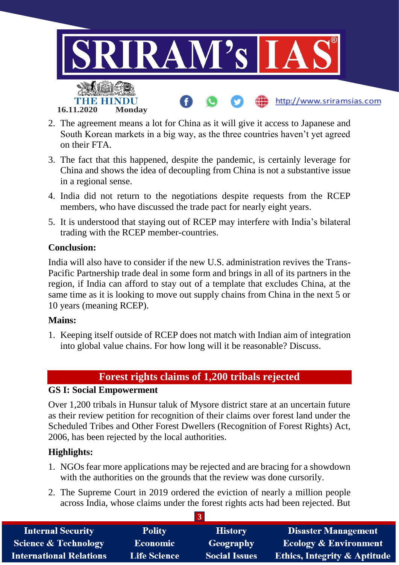

- 2. The agreement means a lot for China as it will give it access to Japanese and South Korean markets in a big way, as the three countries haven't yet agreed on their FTA.
- 3. The fact that this happened, despite the pandemic, is certainly leverage for China and shows the idea of decoupling from China is not a substantive issue in a regional sense.
- 4. India did not return to the negotiations despite requests from the RCEP members, who have discussed the trade pact for nearly eight years.
- 5. It is understood that staying out of RCEP may interfere with India's bilateral trading with the RCEP member-countries.

#### **Conclusion:**

India will also have to consider if the new U.S. administration revives the Trans-Pacific Partnership trade deal in some form and brings in all of its partners in the region, if India can afford to stay out of a template that excludes China, at the same time as it is looking to move out supply chains from China in the next 5 or 10 years (meaning RCEP).

#### **Mains:**

1. Keeping itself outside of RCEP does not match with Indian aim of integration into global value chains. For how long will it be reasonable? Discuss.

## **Forest rights claims of 1,200 tribals rejected**

#### **GS I: Social Empowerment**

Over 1,200 tribals in Hunsur taluk of Mysore district stare at an uncertain future as their review petition for recognition of their claims over forest land under the Scheduled Tribes and Other Forest Dwellers (Recognition of Forest Rights) Act, 2006, has been rejected by the local authorities.

## **Highlights:**

- 1. NGOs fear more applications may be rejected and are bracing for a showdown with the authorities on the grounds that the review was done cursorily.
- 2. The Supreme Court in 2019 ordered the eviction of nearly a million people across India, whose claims under the forest rights acts had been rejected. But

| <b>Internal Security</b>        | <b>Polity</b>       | <b>History</b>       | <b>Disaster Management</b>              |
|---------------------------------|---------------------|----------------------|-----------------------------------------|
| <b>Science &amp; Technology</b> | <b>Economic</b>     | Geography            | <b>Ecology &amp; Environment</b>        |
| <b>International Relations</b>  | <b>Life Science</b> | <b>Social Issues</b> | <b>Ethics, Integrity &amp; Aptitude</b> |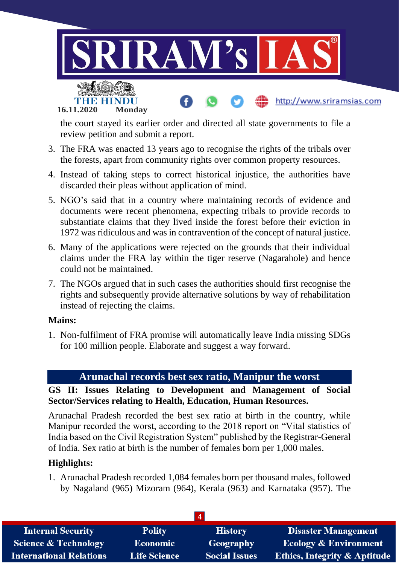

the court stayed its earlier order and directed all state governments to file a review petition and submit a report.

- 3. The FRA was enacted 13 years ago to recognise the rights of the tribals over the forests, apart from community rights over common property resources.
- 4. Instead of taking steps to correct historical injustice, the authorities have discarded their pleas without application of mind.
- 5. NGO's said that in a country where maintaining records of evidence and documents were recent phenomena, expecting tribals to provide records to substantiate claims that they lived inside the forest before their eviction in 1972 was ridiculous and was in contravention of the concept of natural justice.
- 6. Many of the applications were rejected on the grounds that their individual claims under the FRA lay within the tiger reserve (Nagarahole) and hence could not be maintained.
- 7. The NGOs argued that in such cases the authorities should first recognise the rights and subsequently provide alternative solutions by way of rehabilitation instead of rejecting the claims.

#### **Mains:**

1. Non-fulfilment of FRA promise will automatically leave India missing SDGs for 100 million people. Elaborate and suggest a way forward.

## **Arunachal records best sex ratio, Manipur the worst**

#### **GS II: Issues Relating to Development and Management of Social Sector/Services relating to Health, Education, Human Resources.**

Arunachal Pradesh recorded the best sex ratio at birth in the country, while Manipur recorded the worst, according to the 2018 report on "Vital statistics of India based on the Civil Registration System" published by the Registrar-General of India. Sex ratio at birth is the number of females born per 1,000 males.

## **Highlights:**

1. Arunachal Pradesh recorded 1,084 females born per thousand males, followed by Nagaland (965) Mizoram (964), Kerala (963) and Karnataka (957). The

| <b>Internal Security</b>        | <b>Polity</b>       | <b>History</b>       | <b>Disaster Management</b>              |
|---------------------------------|---------------------|----------------------|-----------------------------------------|
| <b>Science &amp; Technology</b> | <b>Economic</b>     | <b>Geography</b>     | <b>Ecology &amp; Environment</b>        |
| <b>International Relations</b>  | <b>Life Science</b> | <b>Social Issues</b> | <b>Ethics, Integrity &amp; Aptitude</b> |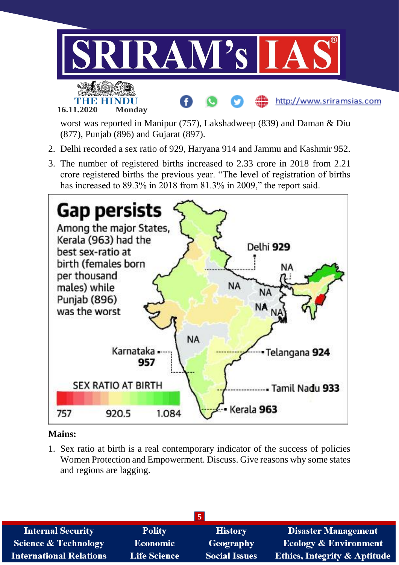

## **Mains:**

1. Sex ratio at birth is a real contemporary indicator of the success of policies Women Protection and Empowerment. Discuss. Give reasons why some states and regions are lagging.

| <b>Internal Security</b>        | <b>Polity</b>       | <b>History</b>       | <b>Disaster Management</b>              |
|---------------------------------|---------------------|----------------------|-----------------------------------------|
| <b>Science &amp; Technology</b> | <b>Economic</b>     | <b>Geography</b>     | Ecology & Environment                   |
| <b>International Relations</b>  | <b>Life Science</b> | <b>Social Issues</b> | <b>Ethics, Integrity &amp; Aptitude</b> |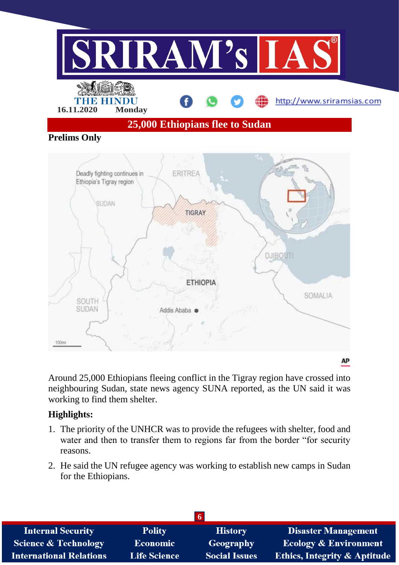

Around 25,000 Ethiopians fleeing conflict in the Tigray region have crossed into neighbouring Sudan, state news agency SUNA reported, as the UN said it was working to find them shelter.

#### **Highlights:**

- 1. The priority of the UNHCR was to provide the refugees with shelter, food and water and then to transfer them to regions far from the border "for security reasons.
- 2. He said the UN refugee agency was working to establish new camps in Sudan for the Ethiopians.

| <b>Internal Security</b>        | <b>Polity</b>       | <b>History</b>       | <b>Disaster Management</b>              |
|---------------------------------|---------------------|----------------------|-----------------------------------------|
| <b>Science &amp; Technology</b> | <b>Economic</b>     | Geography            | <b>Ecology &amp; Environment</b>        |
| <b>International Relations</b>  | <b>Life Science</b> | <b>Social Issues</b> | <b>Ethics, Integrity &amp; Aptitude</b> |